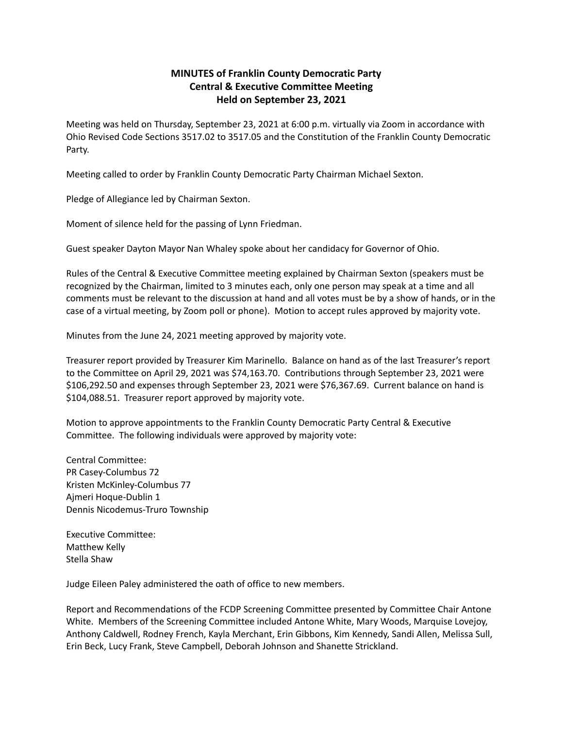## **MINUTES of Franklin County Democratic Party Central & Executive Committee Meeting Held on September 23, 2021**

Meeting was held on Thursday, September 23, 2021 at 6:00 p.m. virtually via Zoom in accordance with Ohio Revised Code Sections 3517.02 to 3517.05 and the Constitution of the Franklin County Democratic Party.

Meeting called to order by Franklin County Democratic Party Chairman Michael Sexton.

Pledge of Allegiance led by Chairman Sexton.

Moment of silence held for the passing of Lynn Friedman.

Guest speaker Dayton Mayor Nan Whaley spoke about her candidacy for Governor of Ohio.

Rules of the Central & Executive Committee meeting explained by Chairman Sexton (speakers must be recognized by the Chairman, limited to 3 minutes each, only one person may speak at a time and all comments must be relevant to the discussion at hand and all votes must be by a show of hands, or in the case of a virtual meeting, by Zoom poll or phone). Motion to accept rules approved by majority vote.

Minutes from the June 24, 2021 meeting approved by majority vote.

Treasurer report provided by Treasurer Kim Marinello. Balance on hand as of the last Treasurer's report to the Committee on April 29, 2021 was \$74,163.70. Contributions through September 23, 2021 were \$106,292.50 and expenses through September 23, 2021 were \$76,367.69. Current balance on hand is \$104,088.51. Treasurer report approved by majority vote.

Motion to approve appointments to the Franklin County Democratic Party Central & Executive Committee. The following individuals were approved by majority vote:

Central Committee: PR Casey-Columbus 72 Kristen McKinley-Columbus 77 Ajmeri Hoque-Dublin 1 Dennis Nicodemus-Truro Township

Executive Committee: Matthew Kelly Stella Shaw

Judge Eileen Paley administered the oath of office to new members.

Report and Recommendations of the FCDP Screening Committee presented by Committee Chair Antone White. Members of the Screening Committee included Antone White, Mary Woods, Marquise Lovejoy, Anthony Caldwell, Rodney French, Kayla Merchant, Erin Gibbons, Kim Kennedy, Sandi Allen, Melissa Sull, Erin Beck, Lucy Frank, Steve Campbell, Deborah Johnson and Shanette Strickland.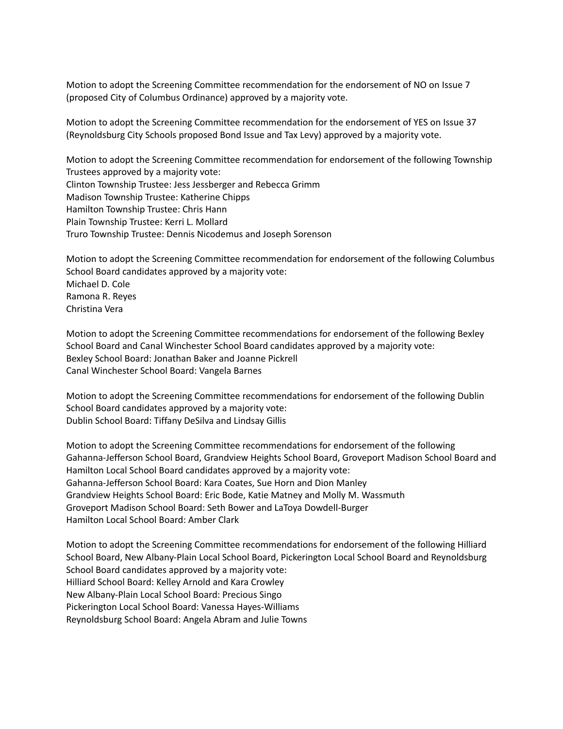Motion to adopt the Screening Committee recommendation for the endorsement of NO on Issue 7 (proposed City of Columbus Ordinance) approved by a majority vote.

Motion to adopt the Screening Committee recommendation for the endorsement of YES on Issue 37 (Reynoldsburg City Schools proposed Bond Issue and Tax Levy) approved by a majority vote.

Motion to adopt the Screening Committee recommendation for endorsement of the following Township Trustees approved by a majority vote: Clinton Township Trustee: Jess Jessberger and Rebecca Grimm Madison Township Trustee: Katherine Chipps Hamilton Township Trustee: Chris Hann Plain Township Trustee: Kerri L. Mollard Truro Township Trustee: Dennis Nicodemus and Joseph Sorenson

Motion to adopt the Screening Committee recommendation for endorsement of the following Columbus School Board candidates approved by a majority vote: Michael D. Cole Ramona R. Reyes Christina Vera

Motion to adopt the Screening Committee recommendations for endorsement of the following Bexley School Board and Canal Winchester School Board candidates approved by a majority vote: Bexley School Board: Jonathan Baker and Joanne Pickrell Canal Winchester School Board: Vangela Barnes

Motion to adopt the Screening Committee recommendations for endorsement of the following Dublin School Board candidates approved by a majority vote: Dublin School Board: Tiffany DeSilva and Lindsay Gillis

Motion to adopt the Screening Committee recommendations for endorsement of the following Gahanna-Jefferson School Board, Grandview Heights School Board, Groveport Madison School Board and Hamilton Local School Board candidates approved by a majority vote: Gahanna-Jefferson School Board: Kara Coates, Sue Horn and Dion Manley Grandview Heights School Board: Eric Bode, Katie Matney and Molly M. Wassmuth Groveport Madison School Board: Seth Bower and LaToya Dowdell-Burger Hamilton Local School Board: Amber Clark

Motion to adopt the Screening Committee recommendations for endorsement of the following Hilliard School Board, New Albany-Plain Local School Board, Pickerington Local School Board and Reynoldsburg School Board candidates approved by a majority vote: Hilliard School Board: Kelley Arnold and Kara Crowley New Albany-Plain Local School Board: Precious Singo Pickerington Local School Board: Vanessa Hayes-Williams Reynoldsburg School Board: Angela Abram and Julie Towns